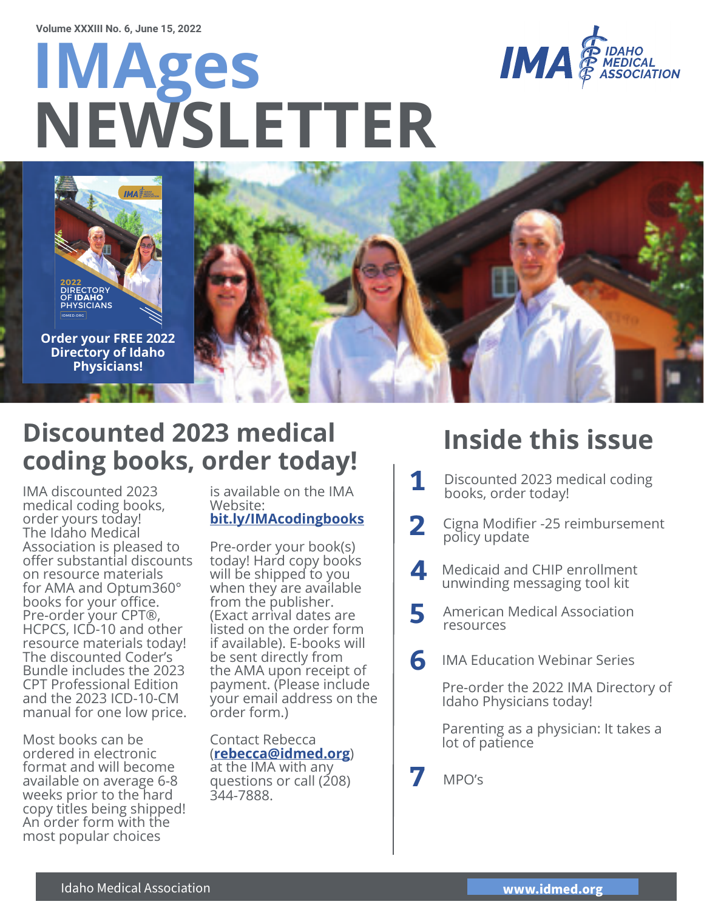# **IMAges NEWSLETTER**





**Order your FREE 2022 Directory of Idaho Physicians!**



### **Discounted 2023 medical coding books, order today!**

IMA discounted 2023 medical coding books, order yours today! The Idaho Medical Association is pleased to offer substantial discounts on resource materials for AMA and Optum360° books for your office. Pre-order your CPT®, HCPCS, ICD-10 and other resource materials today! The discounted Coder's Bundle includes the 2023 CPT Professional Edition and the 2023 ICD-10-CM manual for one low price.

Most books can be ordered in electronic format and will become available on average 6-8 weeks prior to the hard copy titles being shipped! An order form with the most popular choices

is available on the IMA Website: **bit.ly/IMAcodingbooks**

Pre-order your book(s) today! Hard copy books will be shipped to you when they are available from the publisher. (Exact arrival dates are listed on the order form if available). E-books will be sent directly from the AMA upon receipt of payment. (Please include your email address on the order form.)

Contact Rebecca (**rebecca@idmed.org**) at the IMA with any questions or call (208) 344-7888.

### **Inside this issue**

- **1** Discounted 2023 medical coding books, order today!
- **2** Cigna Modifier -25 reimbursement policy update
- Medicaid and CHIP enrollment unwinding messaging tool kit **4**
- **5** American Medical Association
- IMA Education Webinar Series **6**

Pre-order the 2022 IMA Directory of Idaho Physicians today!

Parenting as a physician: It takes a lot of patience

**7** MPO's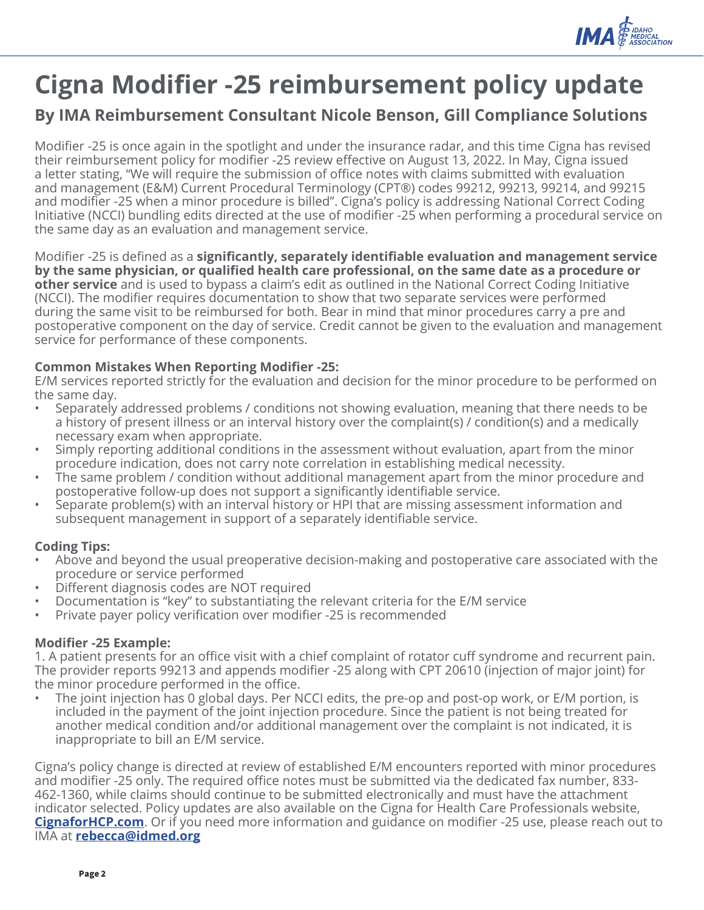

### **Cigna Modifier -25 reimbursement policy update**

#### **By IMA Reimbursement Consultant Nicole Benson, Gill Compliance Solutions**

Modifier -25 is once again in the spotlight and under the insurance radar, and this time Cigna has revised their reimbursement policy for modifier -25 review effective on August 13, 2022. In May, Cigna issued a letter stating, "We will require the submission of office notes with claims submitted with evaluation and management (E&M) Current Procedural Terminology (CPT®) codes 99212, 99213, 99214, and 99215 and modifier -25 when a minor procedure is billed". Cigna's policy is addressing National Correct Coding Initiative (NCCI) bundling edits directed at the use of modifier -25 when performing a procedural service on the same day as an evaluation and management service.

Modifier -25 is defined as a **significantly, separately identifiable evaluation and management service by the same physician, or qualifi ed health care professional, on the same date as a procedure or other service** and is used to bypass a claim's edit as outlined in the National Correct Coding Initiative (NCCI). The modifier requires documentation to show that two separate services were performed during the same visit to be reimbursed for both. Bear in mind that minor procedures carry a pre and postoperative component on the day of service. Credit cannot be given to the evaluation and management service for performance of these components.

#### **Common Mistakes When Reporting Modifier -25:**

E/M services reported strictly for the evaluation and decision for the minor procedure to be performed on the same day.

- Separately addressed problems / conditions not showing evaluation, meaning that there needs to be a history of present illness or an interval history over the complaint(s) / condition(s) and a medically necessary exam when appropriate.
- Simply reporting additional conditions in the assessment without evaluation, apart from the minor procedure indication, does not carry note correlation in establishing medical necessity.
- The same problem / condition without additional management apart from the minor procedure and postoperative follow-up does not support a significantly identifiable service.
- Separate problem(s) with an interval history or HPI that are missing assessment information and subsequent management in support of a separately identifiable service.

#### **Coding Tips:**

- Above and beyond the usual preoperative decision-making and postoperative care associated with the procedure or service performed
- Different diagnosis codes are NOT required
- Documentation is "key" to substantiating the relevant criteria for the E/M service
- Private payer policy verification over modifier -25 is recommended

#### **Modifi er -25 Example:**

1. A patient presents for an office visit with a chief complaint of rotator cuff syndrome and recurrent pain. The provider reports 99213 and appends modifier -25 along with CPT 20610 (injection of major joint) for the minor procedure performed in the office.

The joint injection has 0 global days. Per NCCI edits, the pre-op and post-op work, or E/M portion, is included in the payment of the joint injection procedure. Since the patient is not being treated for another medical condition and/or additional management over the complaint is not indicated, it is inappropriate to bill an E/M service.

Cigna's policy change is directed at review of established E/M encounters reported with minor procedures and modifier -25 only. The required office notes must be submitted via the dedicated fax number, 833-462-1360, while claims should continue to be submitted electronically and must have the attachment indicator selected. Policy updates are also available on the Cigna for Health Care Professionals website, **CignaforHCP.com**. Or if you need more information and guidance on modifier -25 use, please reach out to IMA at **rebecca@idmed.org**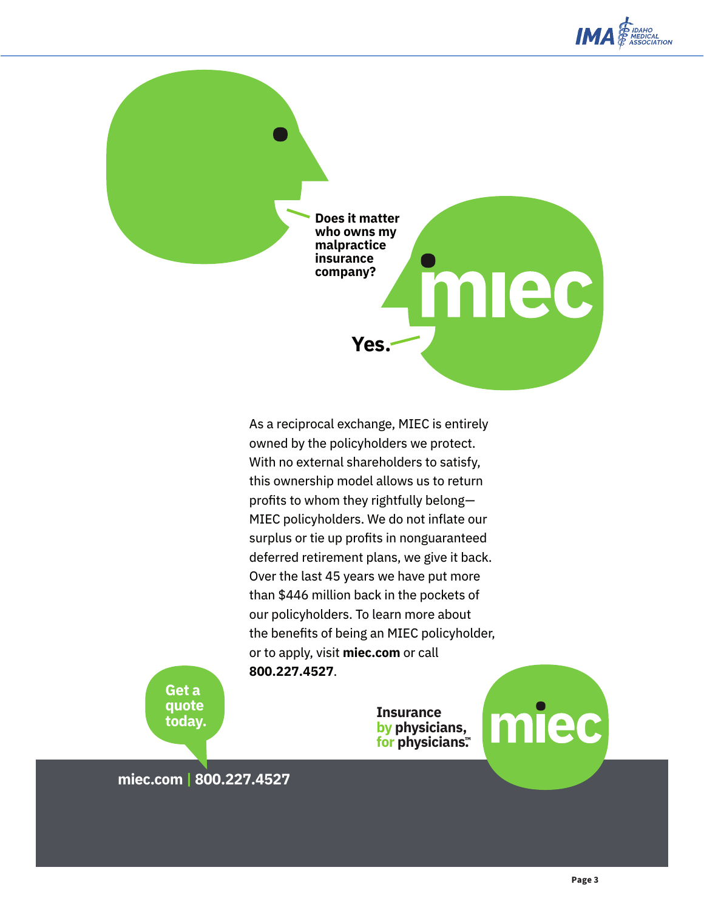

**Does it matter who owns my malpractice insurance company?**

**Yes.**

As a reciprocal exchange, MIEC is entirely owned by the policyholders we protect. With no external shareholders to satisfy, this ownership model allows us to return profits to whom they rightfully belong— MIEC policyholders. We do not inflate our surplus or tie up profits in nonguaranteed deferred retirement plans, we give it back. Over the last 45 years we have put more than \$446 million back in the pockets of our policyholders. To learn more about the benefits of being an MIEC policyholder, or to apply, visit **miec.com** or call **800.227.4527**.

> **Insurance by physicians, for physicians.™**



miec

**Get a quote today.**

**miec.com | 800.227.4527**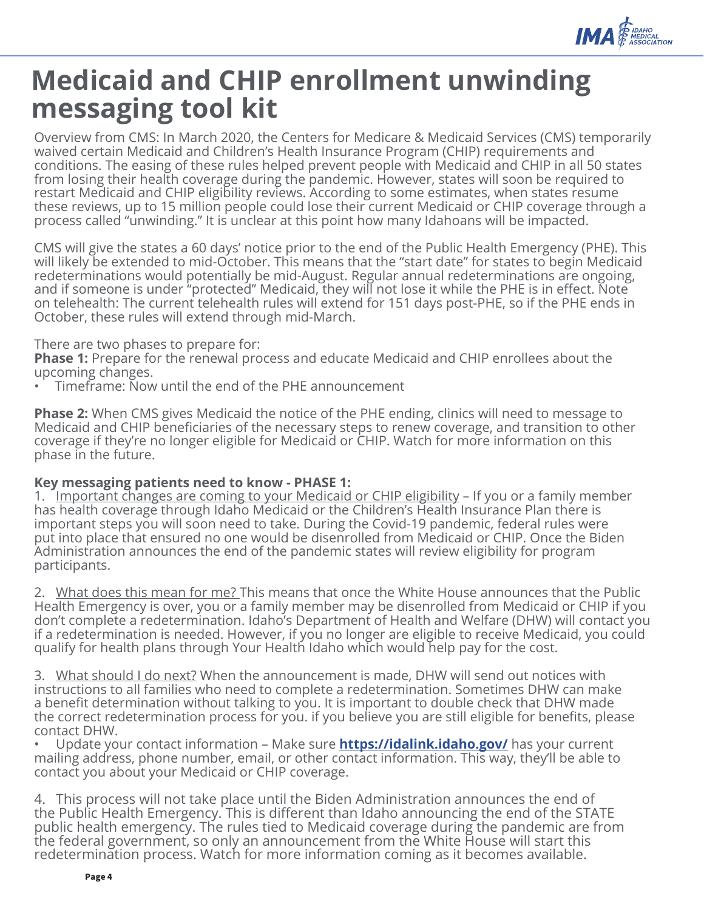

### **Medicaid and CHIP enrollment unwinding messaging tool kit**

Overview from CMS: In March 2020, the Centers for Medicare & Medicaid Services (CMS) temporarily waived certain Medicaid and Children's Health Insurance Program (CHIP) requirements and conditions. The easing of these rules helped prevent people with Medicaid and CHIP in all 50 states from losing their health coverage during the pandemic. However, states will soon be required to restart Medicaid and CHIP eligibility reviews. According to some estimates, when states resume these reviews, up to 15 million people could lose their current Medicaid or CHIP coverage through a process called "unwinding." It is unclear at this point how many Idahoans will be impacted.

CMS will give the states a 60 days' notice prior to the end of the Public Health Emergency (PHE). This will likely be extended to mid-October. This means that the "start date" for states to begin Medicaid redeterminations would potentially be mid-August. Regular annual redeterminations are ongoing, and if someone is under "protected" Medicaid, they will not lose it while the PHE is in effect. Note on telehealth: The current telehealth rules will extend for 151 days post-PHE, so if the PHE ends in October, these rules will extend through mid-March.

#### There are two phases to prepare for:

**Phase 1:** Prepare for the renewal process and educate Medicaid and CHIP enrollees about the upcoming changes.

• Timeframe: Now until the end of the PHE announcement

**Phase 2:** When CMS gives Medicaid the notice of the PHE ending, clinics will need to message to Medicaid and CHIP beneficiaries of the necessary steps to renew coverage, and transition to other coverage if they're no longer eligible for Medicaid or CHIP. Watch for more information on this phase in the future.

#### **Key messaging patients need to know - PHASE 1:**

1. Important changes are coming to your Medicaid or CHIP eligibility – If you or a family member has health coverage through Idaho Medicaid or the Children's Health Insurance Plan there is important steps you will soon need to take. During the Covid-19 pandemic, federal rules were put into place that ensured no one would be disenrolled from Medicaid or CHIP. Once the Biden Administration announces the end of the pandemic states will review eligibility for program participants.

2. What does this mean for me? This means that once the White House announces that the Public Health Emergency is over, you or a family member may be disenrolled from Medicaid or CHIP if you don't complete a redetermination. Idaho's Department of Health and Welfare (DHW) will contact you if a redetermination is needed. However, if you no longer are eligible to receive Medicaid, you could qualify for health plans through Your Health Idaho which would help pay for the cost.

3. What should I do next? When the announcement is made, DHW will send out notices with instructions to all families who need to complete a redetermination. Sometimes DHW can make a benefit determination without talking to you. It is important to double check that DHW made the correct redetermination process for you. If you believe you are still eligible for benefits, please contact DHW.

• Update your contact information – Make sure **https://idalink.idaho.gov/** has your current mailing address, phone number, email, or other contact information. This way, they'll be able to contact you about your Medicaid or CHIP coverage.

4. This process will not take place until the Biden Administration announces the end of the Public Health Emergency. This is different than Idaho announcing the end of the STATE public health emergency. The rules tied to Medicaid coverage during the pandemic are from the federal government, so only an announcement from the White House will start this redetermination process. Watch for more information coming as it becomes available.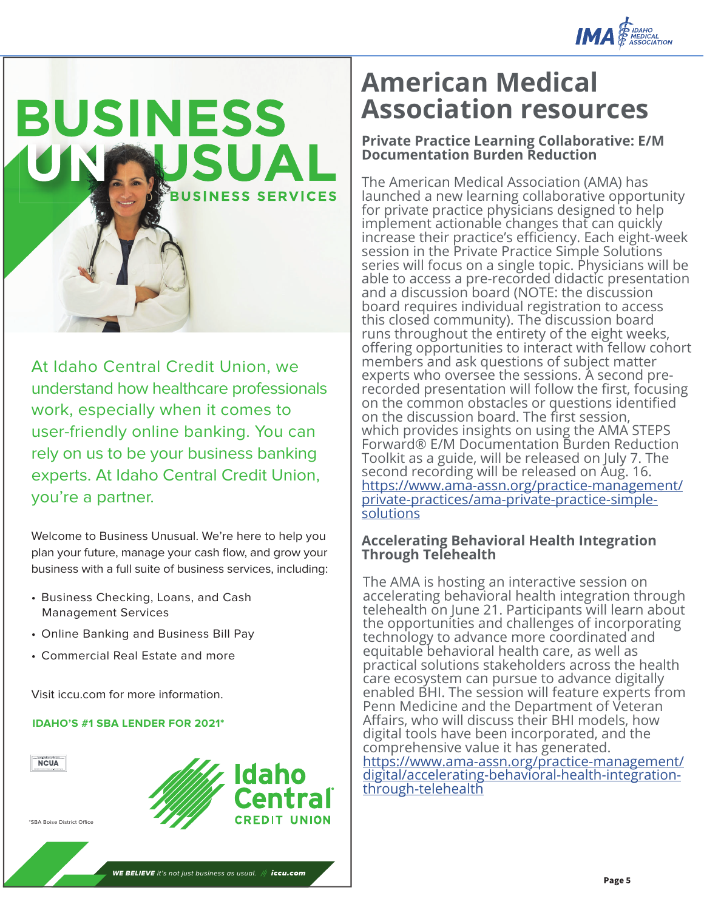



At Idaho Central Credit Union, we understand how healthcare professionals work, especially when it comes to user-friendly online banking. You can rely on us to be your business banking experts. At Idaho Central Credit Union, you're a partner.

Welcome to Business Unusual. We're here to help you plan your future, manage your cash flow, and grow your business with a full suite of business services, including:

- Business Checking, Loans, and Cash Management Services
- Online Banking and Business Bill Pay
- Commercial Real Estate and more

Visit iccu.com for more information.

#### **IDAHO'S #1 SBA LENDER FOR 2021\***



### **American Medical Association resources**

#### **Private Practice Learning Collaborative: E/M Documentation Burden Reduction**

The American Medical Association (AMA) has launched a new learning collaborative opportunity for private practice physicians designed to help implement actionable changes that can quickly increase their practice's efficiency. Each eight-week session in the Private Practice Simple Solutions series will focus on a single topic. Physicians will be able to access a pre-recorded didactic presentation and a discussion board (NOTE: the discussion board requires individual registration to access this closed community). The discussion board runs throughout the entirety of the eight weeks, offering opportunities to interact with fellow cohort members and ask questions of subject matter experts who oversee the sessions. A second prerecorded presentation will follow the first, focusing on the common obstacles or questions identified on the discussion board. The first session, which provides insights on using the AMA STEPS Forward® E/M Documentation Burden Reduction Toolkit as a guide, will be released on July 7. The second recording will be released on Aug. 16. https://www.ama-assn.org/practice-management/ private-practices/ama-private-practice-simplesolutions

#### **Accelerating Behavioral Health Integration Through Telehealth**

The AMA is hosting an interactive session on accelerating behavioral health integration through telehealth on June 21. Participants will learn about the opportunities and challenges of incorporating technology to advance more coordinated and equitable behavioral health care, as well as practical solutions stakeholders across the health care ecosystem can pursue to advance digitally enabled BHI. The session will feature experts from Penn Medicine and the Department of Veteran Affairs, who will discuss their BHI models, how digital tools have been incorporated, and the comprehensive value it has generated. https://www.ama-assn.org/practice-management/ digital/accelerating-behavioral-health-integration-

through-telehealth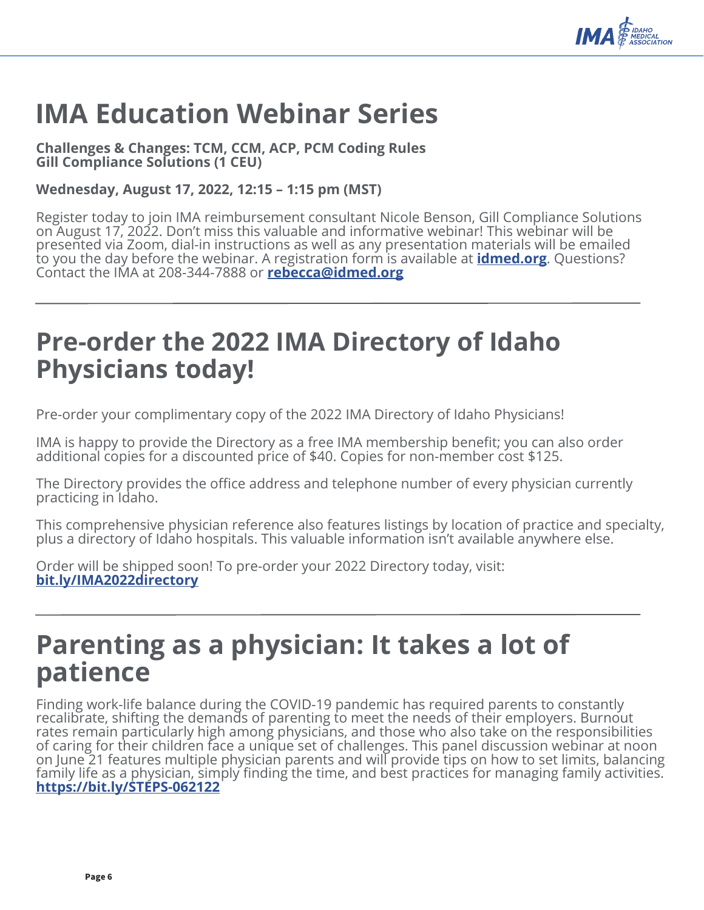

### **IMA Education Webinar Series**

**Challenges & Changes: TCM, CCM, ACP, PCM Coding Rules Gill Compliance Solutions (1 CEU)**

#### **Wednesday, August 17, 2022, 12:15 – 1:15 pm (MST)**

Register today to join IMA reimbursement consultant Nicole Benson, Gill Compliance Solutions on August 17, 2022. Don't miss this valuable and informative webinar! This webinar will be presented via Zoom, dial-in instructions as well as any presentation materials will be emailed to you the day before the webinar. A registration form is available at **idmed.org**. Questions? Contact the IMA at 208-344-7888 or **rebecca@idmed.org**

### **Pre-order the 2022 IMA Directory of Idaho Physicians today!**

Pre-order your complimentary copy of the 2022 IMA Directory of Idaho Physicians!

IMA is happy to provide the Directory as a free IMA membership benefit; you can also order additional copies for a discounted price of \$40. Copies for non-member cost \$125.

The Directory provides the office address and telephone number of every physician currently practicing in Idaho.

This comprehensive physician reference also features listings by location of practice and specialty, plus a directory of Idaho hospitals. This valuable information isn't available anywhere else.

Order will be shipped soon! To pre-order your 2022 Directory today, visit: **bit.ly/IMA2022directory**

### **Parenting as a physician: It takes a lot of patience**

Finding work-life balance during the COVID-19 pandemic has required parents to constantly recalibrate, shifting the demands of parenting to meet the needs of their employers. Burnout rates remain particularly high among physicians, and those who also take on the responsibilities of caring for their children face a unique set of challenges. This panel discussion webinar at noon on June 21 features multiple physician parents and will provide tips on how to set limits, balancing family life as a physician, simply finding the time, and best practices for managing family activities. **https://bit.ly/STEPS-062122**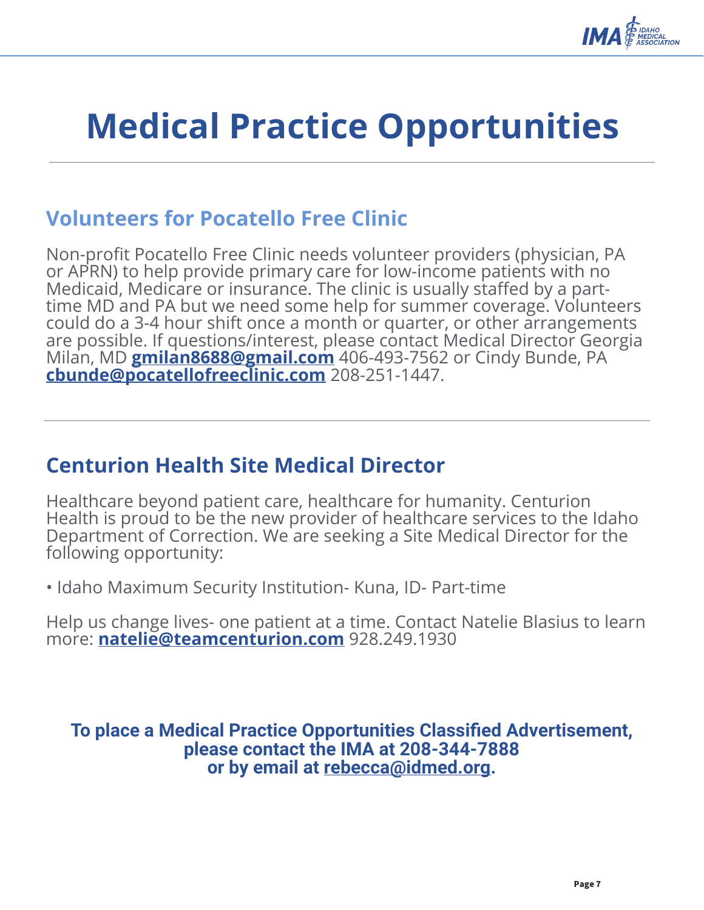

## **Medical Practice Opportunities**

### **Volunteers for Pocatello Free Clinic**

Non-profit Pocatello Free Clinic needs volunteer providers (physician, PA<br>or APRN) to help provide primary care for low-income patients with no<br>Medicaid, Medicare or insurance. The clinic is usually staffed by a parttime MD and PA but we need some help for summer coverage. Volunteers could do a 3-4 hour shift once a month or quarter, or other arrangements are possible. If questions/interest, please contact Medical Director Georgia Milan, MD **gmilan8688@gmail.com** 406-493-7562 or Cindy Bunde, PA **cbunde@pocatellofreeclinic.com** 208-251-1447.

### **Centurion Health Site Medical Director**

Healthcare beyond patient care, healthcare for humanity. Centurion Health is proud to be the new provider of healthcare services to the Idaho Department of Correction. We are seeking a Site Medical Director for the following opportunity:

• Idaho Maximum Security Institution- Kuna, ID- Part-time

Help us change lives- one patient at a time. Contact Natelie Blasius to learn more: **natelie@teamcenturion.com** 928.249.1930

**To place a Medical Practice Opportunities Classified Advertisement, please contact the IMA at 208-344-7888 or by email at rebecca@idmed.org.**